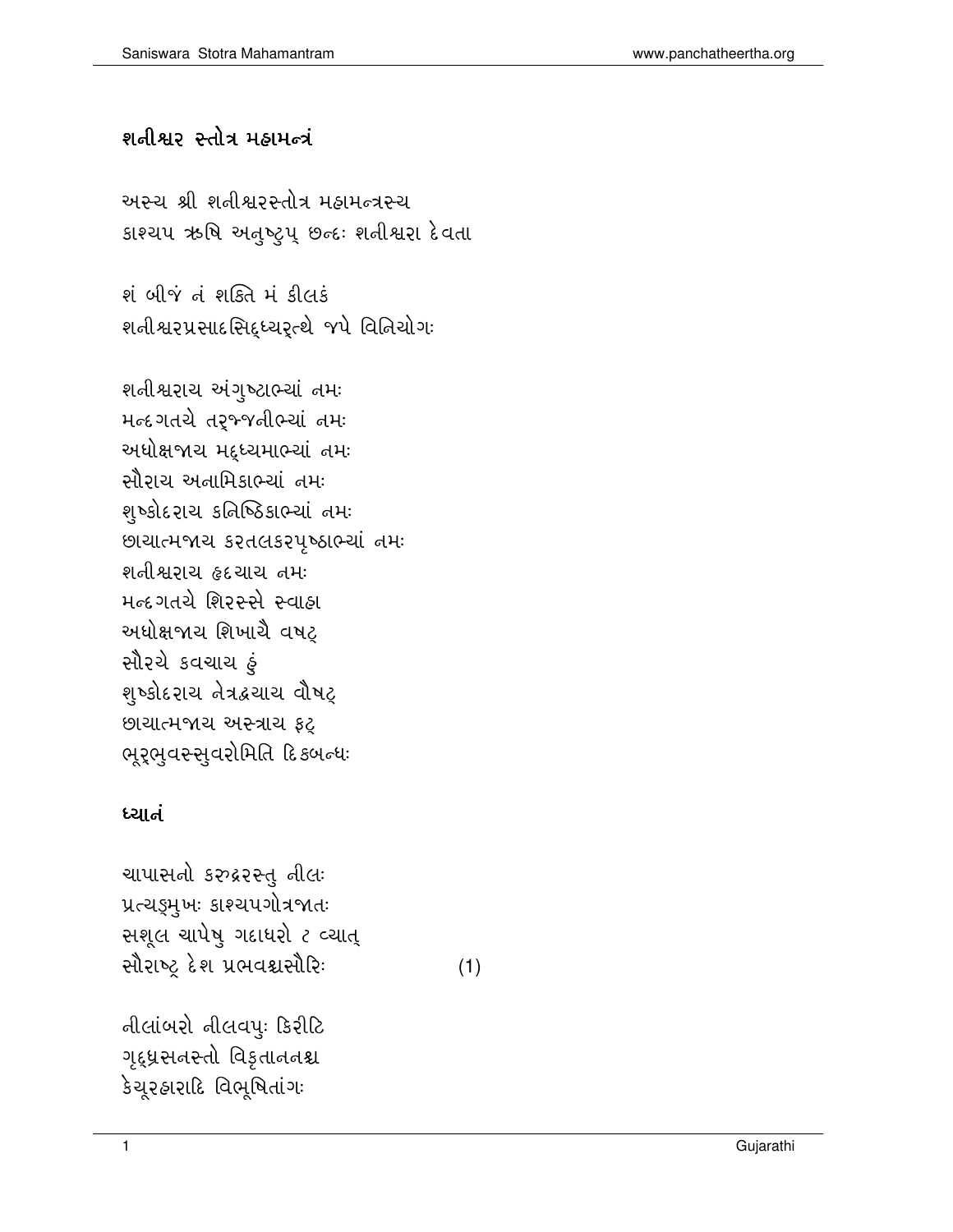## શનીશ્વર સ્તોત્ર મહામન્ત્રં

અસ્ચ શ્રી શનીશ્વરસ્તોત્ર મહામન્ત્રસ્ચ કાશ્ચપ ઋષિ અતુષ્ટ્રપ્ છત્દઃ શતીશ્વરા દેવતા

શંબીજં તંશક્તિ મં કીલકં શનીશ્વરપ્રસાદસિદ્ધ્યરૃત્થે જપે વિનિયોગઃ

શનીશ્વરાચ અંગુષ્ટાભ્યાં નમઃ મન્દગતચે તર્મ્જનીભ્યાં નમ અધોક્ષજાચ મદુધ્યમાભ્યાં નમઃ સૌરાચ અનામિકાભ્યાં નમઃ શૃષ્કોદરાચ કતિષ્ઠિકાભ્યાં નમઃ છાચાત્મજાચ કરતલકરપૃષ્ઠાભ્યાં નમઃ શનીશ્વરાય હૃદયાય નમઃ મન્દગતચે શિરસ્સે સ્વાહા અધોક્ષજાચ શિખાચૈ વષટ સૌરચે કવચાચ ફં શ્ષ્કોદરાચ તેત્રદ્રચાચ વૌષટ્ છાચાત્મજાચ અસ્ત્રાચ ફટ્ ભૂર્ભુવસ્સુવરોમિતિ દિકબન્ધઃ

## ધ્યાતં

ચાપાસનો કરુદ્રરસ્તુ નીલ: પ્રત્ચડ્ડમુખઃ કાશ્ચપગોત્રજાતઃ સશૂલ ચાપેષુ ગદાધરો ૮ વ્યાત્ સૌરાષ્ટ્ર દેશ પ્રભવશ્વસૌરિઃ

 $(1)$ 

નીલાંબરો નીલવપ: કિરીટિ ગૃદ્ધ્રસનસ્તો વિકૃતાનનશ્ચ કેચૂરઠારાદિ વિભૂષિતાંગઃ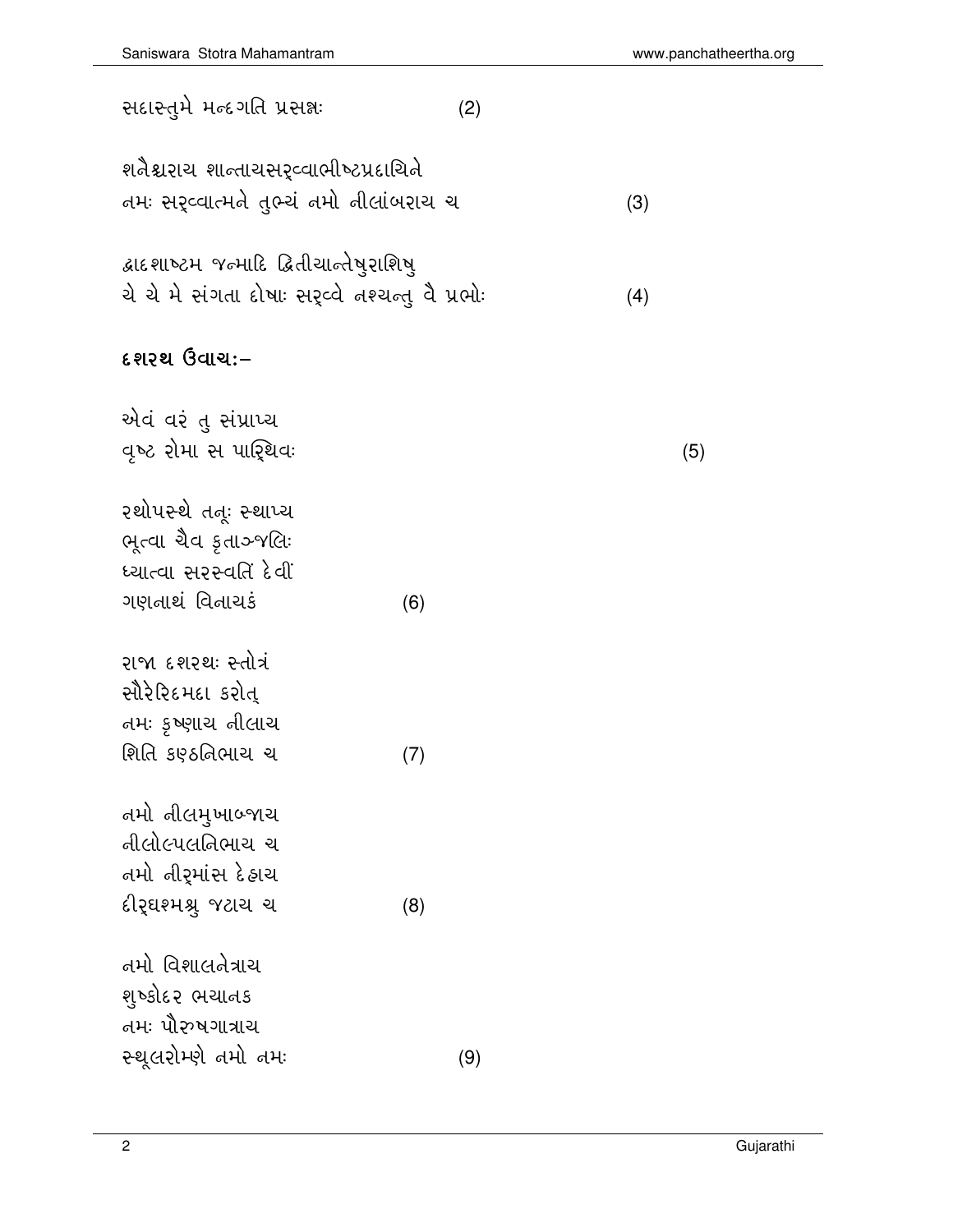$(5)$ 

| શતૈશ્વરાય શાન્તાયસરૃવ્વાભીષ્ટપ્રદાયિતે<br>નમઃ સર્¢વાત્મને તુભ્યં નમો નીલાંબરાચ ચ                | (3) |
|-------------------------------------------------------------------------------------------------|-----|
| દ્વાદશાષ્ટમ જન્માદિ દ્વિતીચાન્તેષુરાશિષુ<br>ચે ચે મે સંગતા દોષાઃ સર્¢વે તશ્ચન્તુ વૈ પ્રભોઃ      | (4) |
| દશરથ ઉવાચઃ–                                                                                     |     |
| એવં વરં તુ સંપ્રાપ્ય<br>વૃષ્ટ રોમા સ પારિૃથવઃ                                                   |     |
| રથોપસ્થે તત્ર્ઃ સ્થાપ્ય<br>ભૂત્વા ચૈવ કૃતાઞ્જલિઃ<br>ધ્યાત્વા સરસ્વતિં દેવીં                     |     |
| ગણતાથં વિતાચકં<br>(6)                                                                           |     |
| રાજા દશરથઃ સ્તોત્રં<br>સૌરેરિદમદા કરોત્<br>તમઃ કૃષ્ણાચ નીલાચ<br>શિતિ કણ્ઠતિભાચ ચ<br>(7)         |     |
| તમો નીલમુખાબ્જાચ<br>નીલોલ્પલનિભાચ ચ<br>તમો નીરૃમાંસ દે <i>હાચ</i><br>દીરૃઘશ્મશ્ર્ જટાચ ચ<br>(8) |     |
| તમો વિશાલતેત્રાચ<br>શુષ્કોદર ભચાનક<br>તમઃ પૌરુષગાત્રાચ<br>સ્થૂલરોમ્ણે નમો નમઃ<br>(9)            |     |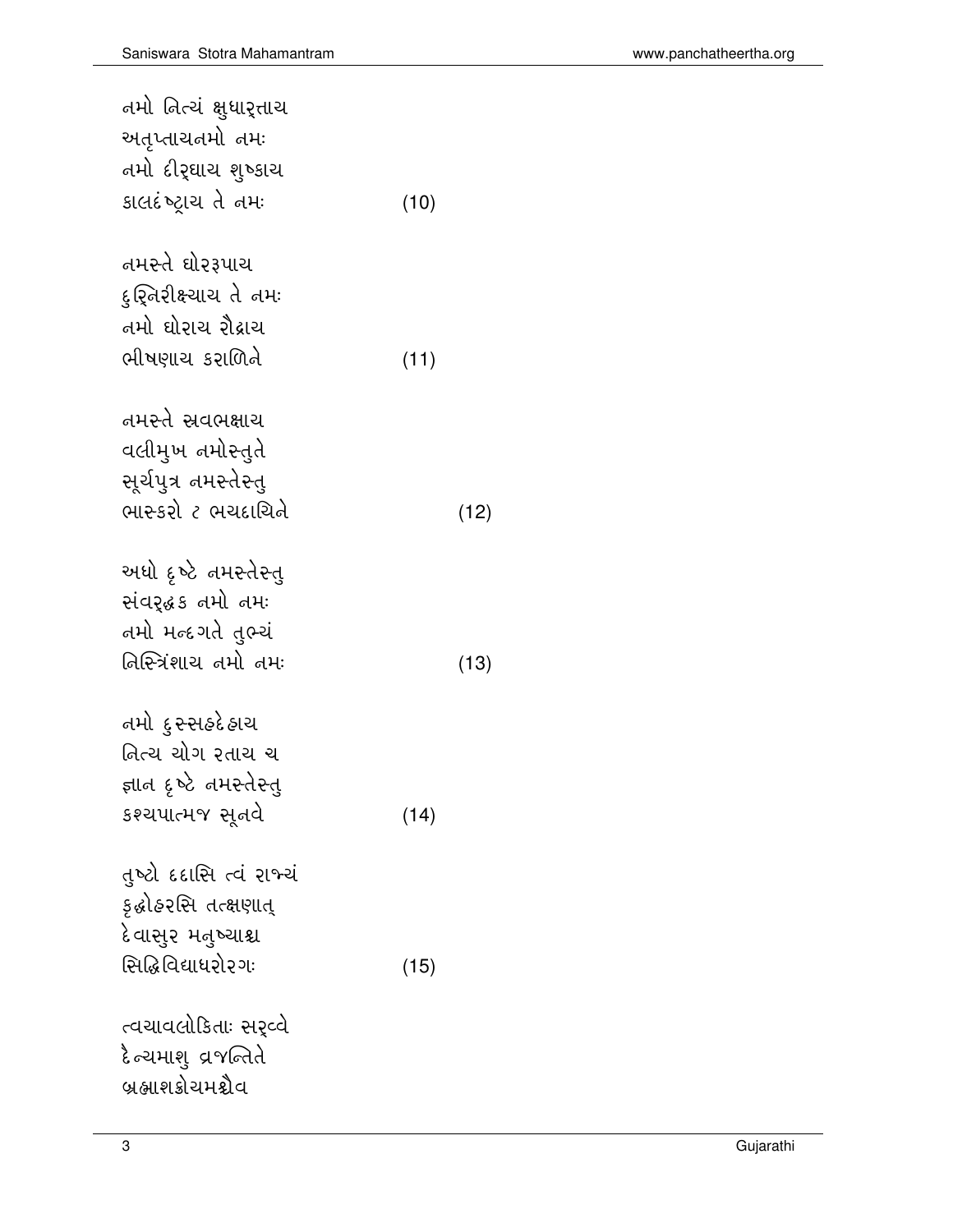| નમો નિત્ચં ક્ષુધાર઼્તાચ<br>અતૃપ્તાચત્નમો તમઃ<br>તમો દીર્ <b>ઘાચ શુષ્કા</b> ચ<br>કાલદંષ્ટ્રાચ તે નમઃ | (10) |      |
|-----------------------------------------------------------------------------------------------------|------|------|
| તમસ્તે ઘોરરૂપાચ<br>દુર્શ્નિરીક્ષ્ચાચ તે નમઃ<br>તમો ઘોરાચ ર <mark>ૌ</mark> દ્રાચ<br>ભીષણાચ કરાળિને   | (11) |      |
| નમસ્તે સ્રવભક્ષાચ<br>વલીમુખ નમોસ્તુતે<br>સૂર્યપુત્ર નમસ્તેસ્તુ<br>ભાસ્કરો ૮ ભચદાચિતે                |      | (12) |
| અધો દૃષ્ટે નમસ્તેસ્તુ<br>સંવર્દ્ધક નમો નમઃ<br>તમો મન્દગતે તુભ્ચં<br>તિસ્ત્રિંશાચ તમો તમઃ            |      | (13) |
| નમો <u>દ</u> ુ સ્સર્ટદે હાચ<br>તિત્ચ ચોગ રતાચ ચ<br>જ્ઞાન દૃષ્ટે નમસ્તેસ્તુ<br>કશ્ચપાત્મજ સૂતવે      | (14) |      |
| તુષ્ટો દદાસિ ત્વં રાજ્યં<br>ક઼ઢોહરસિ તત્ક્ષણાત્<br>દેવાસુર મતુષ્ચાશ્ચ<br>સિદ્ધિવિદ્યાધરો૨ગઃ         | (15) |      |
| ત્વચાવલોકિતાઃ સર્વ્વ<br>દે ન્ચમાશુ વ્રજન્તિતે<br>બ્રહ્માશક્રોચમશ્ચેવ                                |      |      |